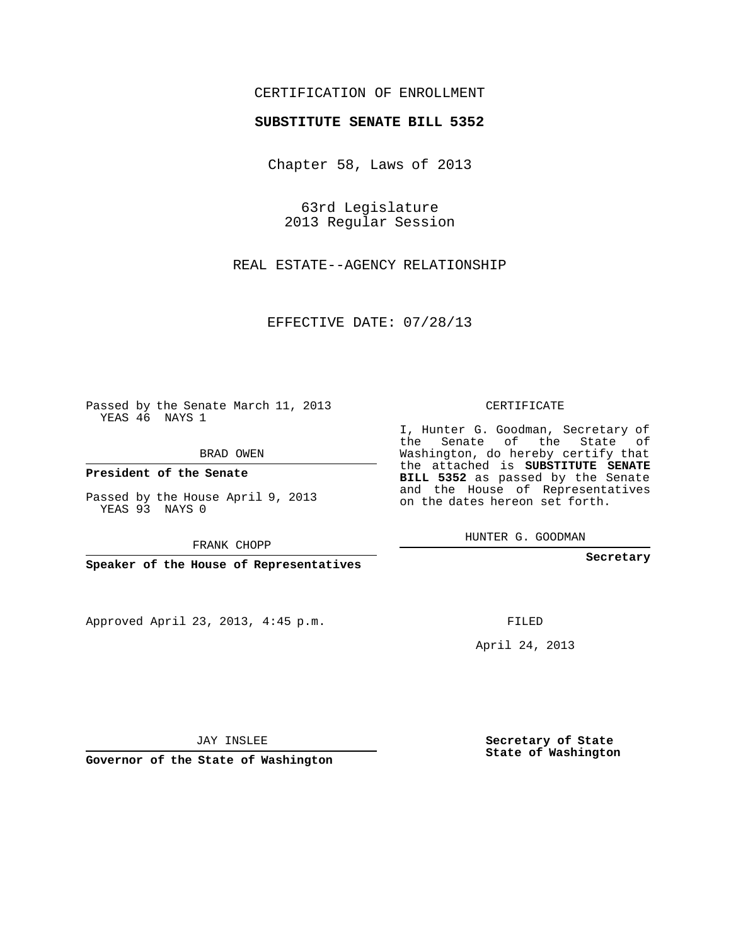## CERTIFICATION OF ENROLLMENT

## **SUBSTITUTE SENATE BILL 5352**

Chapter 58, Laws of 2013

63rd Legislature 2013 Regular Session

REAL ESTATE--AGENCY RELATIONSHIP

EFFECTIVE DATE: 07/28/13

Passed by the Senate March 11, 2013 YEAS 46 NAYS 1

BRAD OWEN

**President of the Senate**

Passed by the House April 9, 2013 YEAS 93 NAYS 0

FRANK CHOPP

**Speaker of the House of Representatives**

Approved April 23, 2013, 4:45 p.m.

CERTIFICATE

I, Hunter G. Goodman, Secretary of the Senate of the State of Washington, do hereby certify that the attached is **SUBSTITUTE SENATE BILL 5352** as passed by the Senate and the House of Representatives on the dates hereon set forth.

HUNTER G. GOODMAN

**Secretary**

FILED

April 24, 2013

JAY INSLEE

**Governor of the State of Washington**

**Secretary of State State of Washington**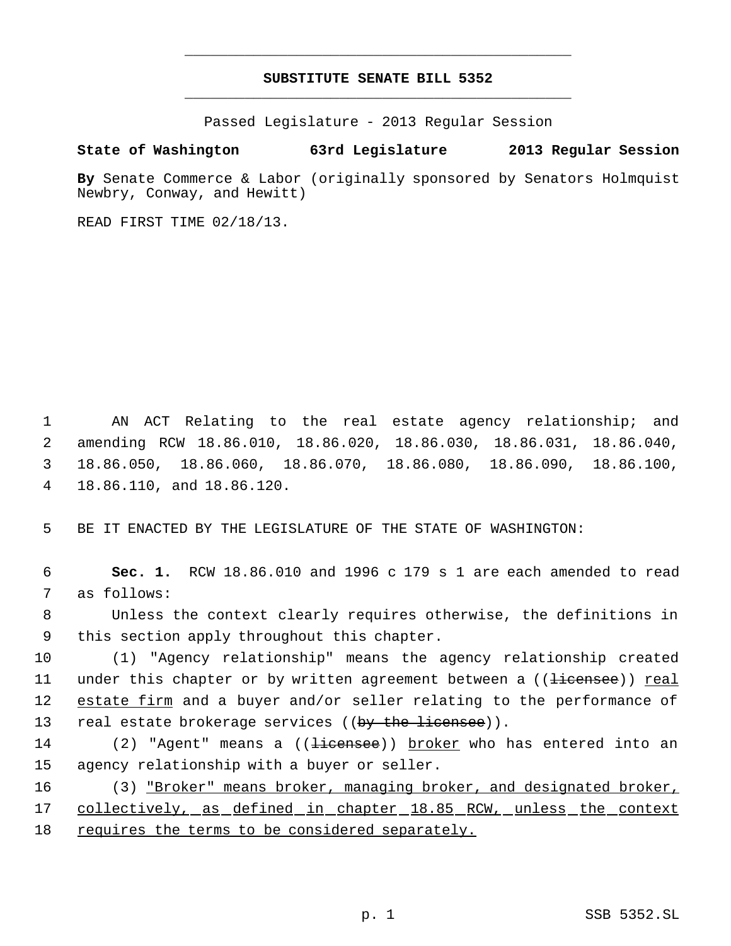## **SUBSTITUTE SENATE BILL 5352** \_\_\_\_\_\_\_\_\_\_\_\_\_\_\_\_\_\_\_\_\_\_\_\_\_\_\_\_\_\_\_\_\_\_\_\_\_\_\_\_\_\_\_\_\_

\_\_\_\_\_\_\_\_\_\_\_\_\_\_\_\_\_\_\_\_\_\_\_\_\_\_\_\_\_\_\_\_\_\_\_\_\_\_\_\_\_\_\_\_\_

Passed Legislature - 2013 Regular Session

## **State of Washington 63rd Legislature 2013 Regular Session**

**By** Senate Commerce & Labor (originally sponsored by Senators Holmquist Newbry, Conway, and Hewitt)

READ FIRST TIME 02/18/13.

 AN ACT Relating to the real estate agency relationship; and amending RCW 18.86.010, 18.86.020, 18.86.030, 18.86.031, 18.86.040, 18.86.050, 18.86.060, 18.86.070, 18.86.080, 18.86.090, 18.86.100, 18.86.110, and 18.86.120.

5 BE IT ENACTED BY THE LEGISLATURE OF THE STATE OF WASHINGTON:

 6 **Sec. 1.** RCW 18.86.010 and 1996 c 179 s 1 are each amended to read 7 as follows:

 8 Unless the context clearly requires otherwise, the definitions in 9 this section apply throughout this chapter.

10 (1) "Agency relationship" means the agency relationship created 11 under this chapter or by written agreement between a ((<del>licensee</del>)) <u>real</u> 12 estate firm and a buyer and/or seller relating to the performance of 13 real estate brokerage services ((by the licensee)).

- 14 (2) "Agent" means a ((<del>licensee</del>)) broker who has entered into an 15 agency relationship with a buyer or seller.
- 16 (3) "Broker" means broker, managing broker, and designated broker, 17 collectively, as defined in chapter 18.85 RCW, unless the context 18 requires the terms to be considered separately.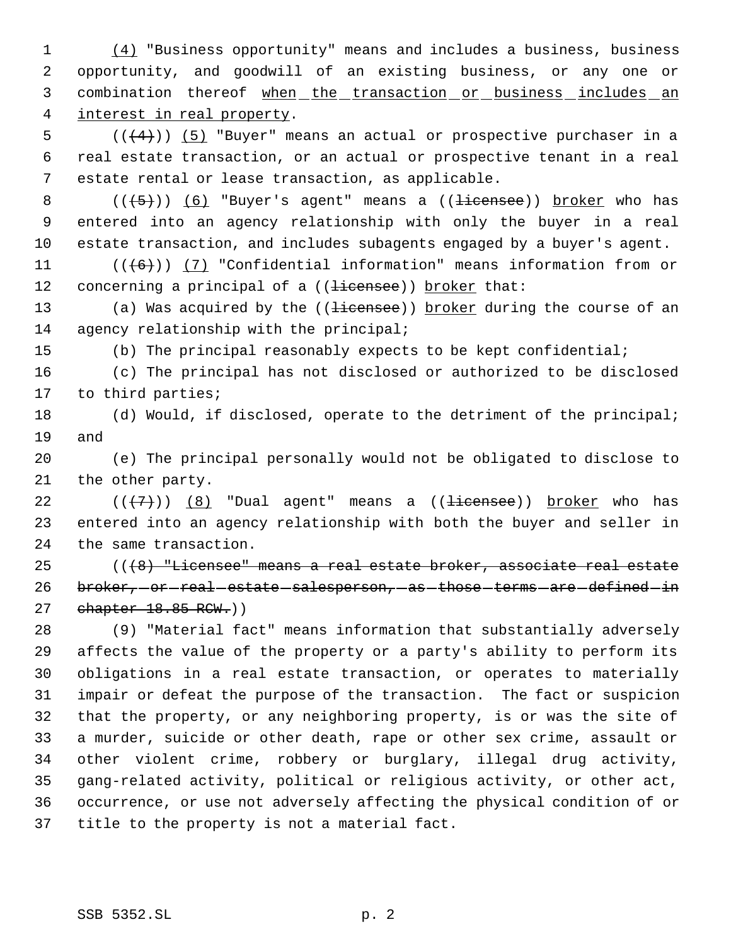(4) "Business opportunity" means and includes a business, business opportunity, and goodwill of an existing business, or any one or combination thereof when the transaction or business includes an interest in real property.

5  $((+4))$   $(5)$  "Buyer" means an actual or prospective purchaser in a real estate transaction, or an actual or prospective tenant in a real estate rental or lease transaction, as applicable.

8  $((+5))$   $(6)$  "Buyer's agent" means a  $((\text{Hicense})^2)$  broker who has entered into an agency relationship with only the buyer in a real estate transaction, and includes subagents engaged by a buyer's agent.

11  $((+6))$   $(7)$  "Confidential information" means information from or 12 concerning a principal of a ((<del>licensee</del>)) broker that:

13 (a) Was acquired by the ((<del>licensee</del>)) broker during the course of an 14 agency relationship with the principal;

(b) The principal reasonably expects to be kept confidential;

 (c) The principal has not disclosed or authorized to be disclosed to third parties;

 (d) Would, if disclosed, operate to the detriment of the principal; and

 (e) The principal personally would not be obligated to disclose to the other party.

22  $((+7))$   $(8)$  "Dual agent" means a  $((\text{ii} \text{cense})$ ) broker who has entered into an agency relationship with both the buyer and seller in the same transaction.

 $((\lbrace 8 \rbrace$  "Licensee" means a real estate broker, associate real estate 26 broker, or real estate salesperson, as those terms are defined in 27 chapter 18.85 RCW.))

 (9) "Material fact" means information that substantially adversely affects the value of the property or a party's ability to perform its obligations in a real estate transaction, or operates to materially impair or defeat the purpose of the transaction. The fact or suspicion that the property, or any neighboring property, is or was the site of a murder, suicide or other death, rape or other sex crime, assault or other violent crime, robbery or burglary, illegal drug activity, gang-related activity, political or religious activity, or other act, occurrence, or use not adversely affecting the physical condition of or title to the property is not a material fact.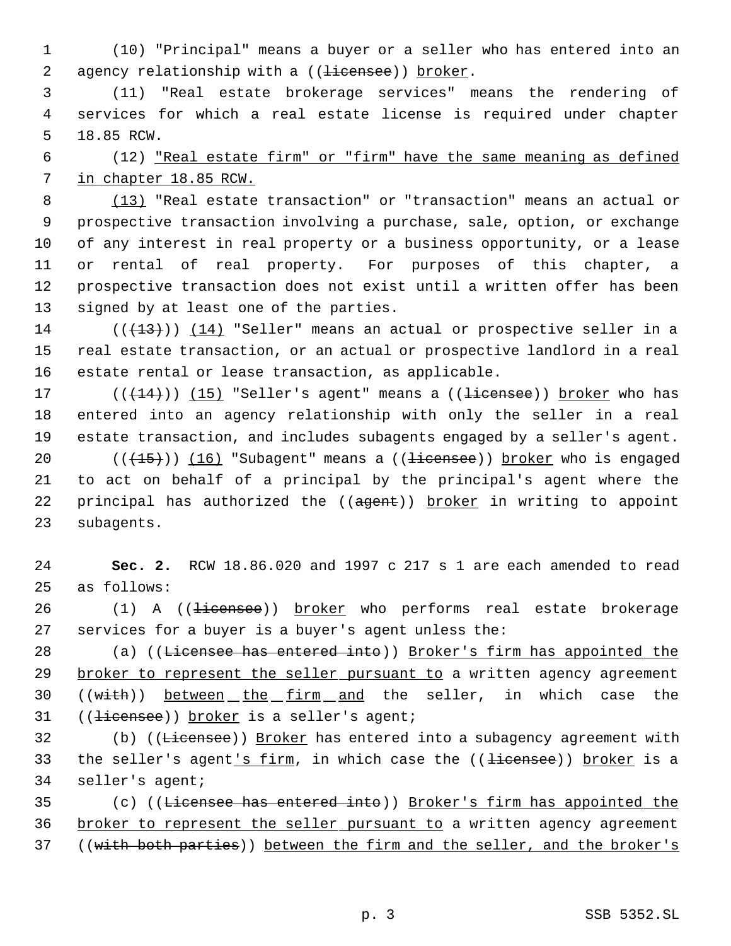(10) "Principal" means a buyer or a seller who has entered into an 2 agency relationship with a ((<del>licensee</del>)) broker.

 (11) "Real estate brokerage services" means the rendering of services for which a real estate license is required under chapter 18.85 RCW.

 (12) "Real estate firm" or "firm" have the same meaning as defined in chapter 18.85 RCW.

 (13) "Real estate transaction" or "transaction" means an actual or prospective transaction involving a purchase, sale, option, or exchange of any interest in real property or a business opportunity, or a lease or rental of real property. For purposes of this chapter, a prospective transaction does not exist until a written offer has been signed by at least one of the parties.

 $((+13))$  (14) "Seller" means an actual or prospective seller in a real estate transaction, or an actual or prospective landlord in a real estate rental or lease transaction, as applicable.

 $((+14))$   $(15)$  "Seller's agent" means a  $((+)$  icensee)) broker who has entered into an agency relationship with only the seller in a real estate transaction, and includes subagents engaged by a seller's agent.  $((+15))$   $(16)$  "Subagent" means a  $((\text{ii} \text{cense})$ ) broker who is engaged to act on behalf of a principal by the principal's agent where the 22 principal has authorized the ((agent)) broker in writing to appoint subagents.

 **Sec. 2.** RCW 18.86.020 and 1997 c 217 s 1 are each amended to read as follows:

26 (1) A ((<del>licensee</del>)) broker who performs real estate brokerage services for a buyer is a buyer's agent unless the:

28 (a) ((Licensee has entered into)) Broker's firm has appointed the 29 broker to represent the seller pursuant to a written agency agreement 30 ((with)) between the firm and the seller, in which case the 31 ((<del>licensee</del>)) broker is a seller's agent;

32 (b) ((<del>Licensee</del>)) Broker has entered into a subagency agreement with 33 the seller's agent<u>'s firm</u>, in which case the ((<del>licensee</del>)) broker is a seller's agent;

 (c) ((Licensee has entered into)) Broker's firm has appointed the 36 broker to represent the seller pursuant to a written agency agreement ((with both parties)) between the firm and the seller, and the broker's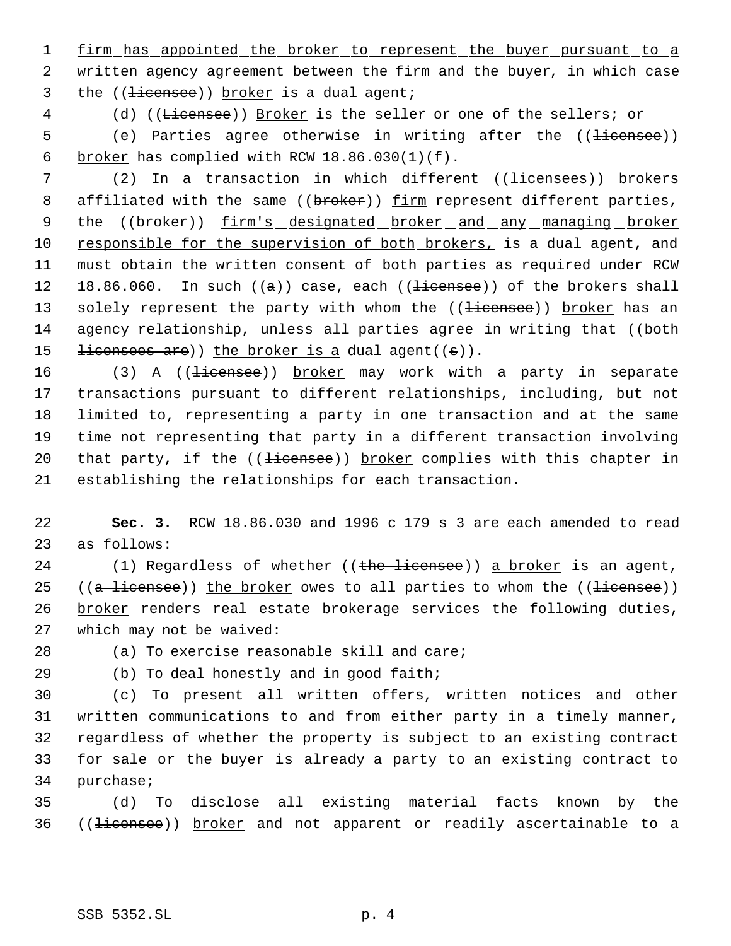1 firm has appointed the broker to represent the buyer pursuant to a 2 written agency agreement between the firm and the buyer, in which case 3 the ((<del>licensee</del>)) broker is a dual agent;

4 (d) ((Licensee)) Broker is the seller or one of the sellers; or

5 (e) Parties agree otherwise in writing after the ((<del>licensee</del>)) 6 broker has complied with RCW  $18.86.030(1)(f)$ .

7 (2) In a transaction in which different ((<del>licensees</del>)) brokers 8 affiliated with the same ((broker)) firm represent different parties, 9 the ((broker)) firm's designated broker and any managing broker 10 responsible for the supervision of both brokers, is a dual agent, and 11 must obtain the written consent of both parties as required under RCW 12 18.86.060. In such  $(a)$  case, each  $((\text{ii} \text{cense}))$  of the brokers shall 13 solely represent the party with whom the ((<del>licensee</del>)) broker has an 14 agency relationship, unless all parties agree in writing that ((both 15  $\pm$ icensees are)) the broker is a dual agent((s)).

16 (3) A ((<del>licensee</del>)) broker may work with a party in separate transactions pursuant to different relationships, including, but not limited to, representing a party in one transaction and at the same time not representing that party in a different transaction involving 20 that party, if the ((<del>licensee</del>)) broker complies with this chapter in establishing the relationships for each transaction.

22 **Sec. 3.** RCW 18.86.030 and 1996 c 179 s 3 are each amended to read 23 as follows:

24 (1) Regardless of whether  $((the **liteensee**))$  a broker is an agent, 25 (( $a$  licensee)) the broker owes to all parties to whom the ((licensee)) 26 broker renders real estate brokerage services the following duties, 27 which may not be waived:

28 (a) To exercise reasonable skill and care;

29 (b) To deal honestly and in good faith;

 (c) To present all written offers, written notices and other written communications to and from either party in a timely manner, regardless of whether the property is subject to an existing contract for sale or the buyer is already a party to an existing contract to purchase;

35 (d) To disclose all existing material facts known by the 36 ((<del>licensee</del>)) broker and not apparent or readily ascertainable to a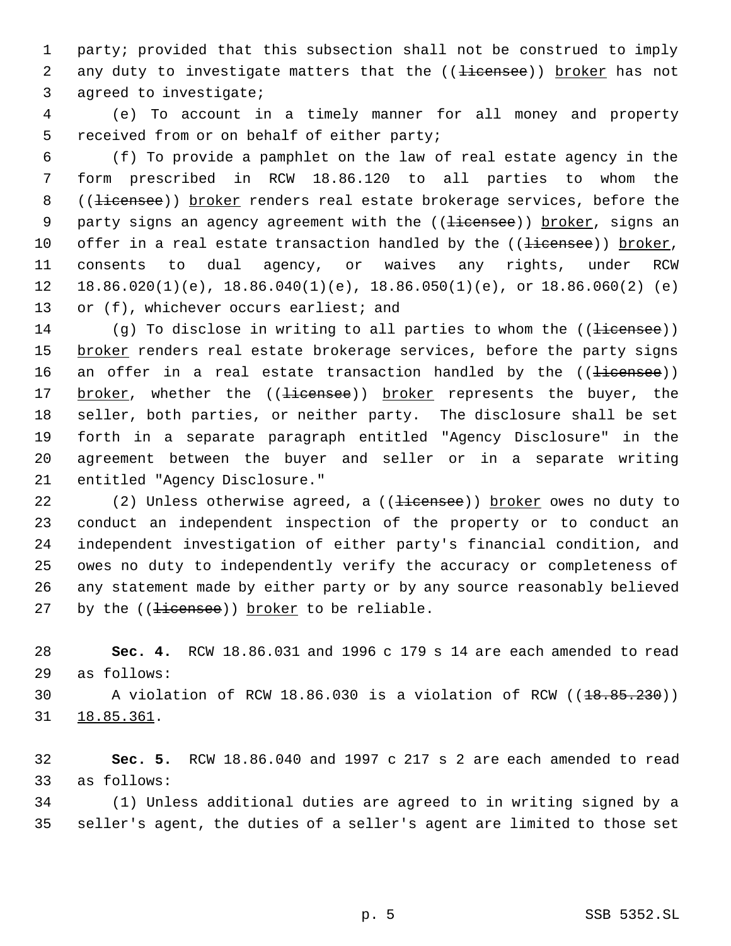party; provided that this subsection shall not be construed to imply 2 any duty to investigate matters that the ((<del>licensee</del>)) broker has not agreed to investigate;

 (e) To account in a timely manner for all money and property received from or on behalf of either party;

 (f) To provide a pamphlet on the law of real estate agency in the form prescribed in RCW 18.86.120 to all parties to whom the 8 ((<del>licensee</del>)) broker renders real estate brokerage services, before the 9 party signs an agency agreement with the ((licensee)) broker, signs an 10 offer in a real estate transaction handled by the ((<del>licensee</del>)) broker, consents to dual agency, or waives any rights, under RCW 12 18.86.020(1)(e),  $18.86.040(1)(e)$ ,  $18.86.050(1)(e)$ , or  $18.86.060(2)(e)$ 13 or (f), whichever occurs earliest; and

14 (g) To disclose in writing to all parties to whom the ((<del>licensee</del>)) 15 broker renders real estate brokerage services, before the party signs 16 an offer in a real estate transaction handled by the ((<del>licensee</del>)) 17 broker, whether the ((<del>licensee</del>)) broker represents the buyer, the seller, both parties, or neither party. The disclosure shall be set forth in a separate paragraph entitled "Agency Disclosure" in the agreement between the buyer and seller or in a separate writing entitled "Agency Disclosure."

22 (2) Unless otherwise agreed, a ((<del>licensee</del>)) broker owes no duty to conduct an independent inspection of the property or to conduct an independent investigation of either party's financial condition, and owes no duty to independently verify the accuracy or completeness of any statement made by either party or by any source reasonably believed 27 by the  $($  ( $\frac{1}{2}$  i  $\frac{1}{2}$   $\frac{1}{2}$   $\frac{1}{2}$   $\frac{1}{2}$   $\frac{1}{2}$   $\frac{1}{2}$   $\frac{1}{2}$   $\frac{1}{2}$   $\frac{1}{2}$   $\frac{1}{2}$   $\frac{1}{2}$   $\frac{1}{2}$   $\frac{1}{2}$   $\frac{1}{2}$   $\frac{1}{2}$   $\frac{1}{2}$   $\frac{1}{2}$   $\frac{1}{2}$   $\frac{1}{2}$   $\frac{$ 

 **Sec. 4.** RCW 18.86.031 and 1996 c 179 s 14 are each amended to read as follows:

30 A violation of RCW  $18.86.030$  is a violation of RCW ( $(18.85.230)$ ) 18.85.361.

 **Sec. 5.** RCW 18.86.040 and 1997 c 217 s 2 are each amended to read as follows:

 (1) Unless additional duties are agreed to in writing signed by a seller's agent, the duties of a seller's agent are limited to those set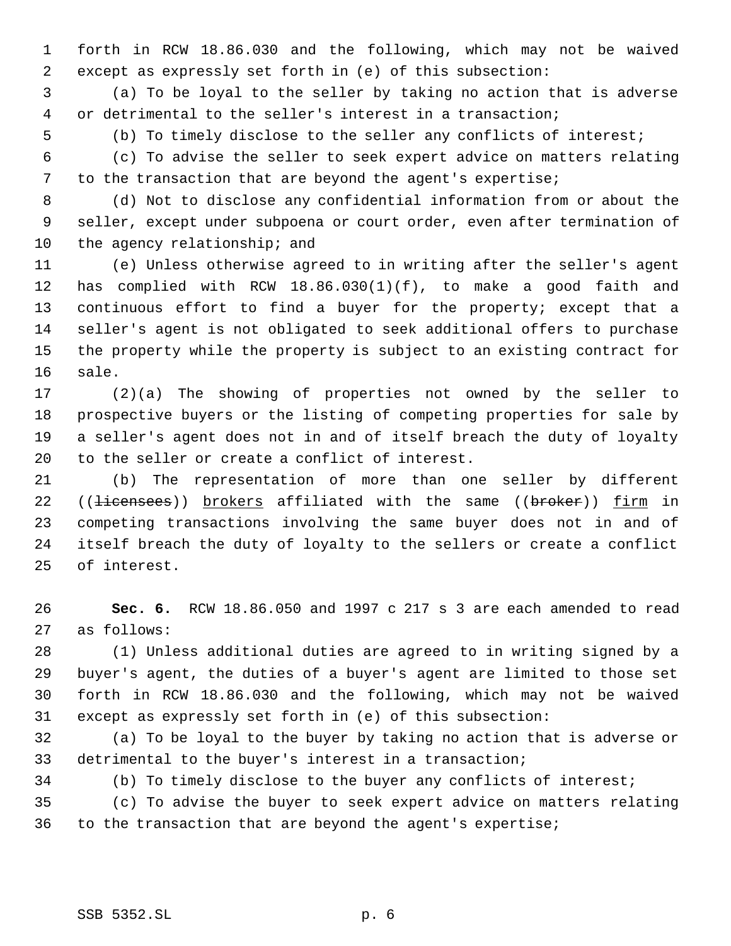forth in RCW 18.86.030 and the following, which may not be waived except as expressly set forth in (e) of this subsection:

 (a) To be loyal to the seller by taking no action that is adverse or detrimental to the seller's interest in a transaction;

(b) To timely disclose to the seller any conflicts of interest;

 (c) To advise the seller to seek expert advice on matters relating to the transaction that are beyond the agent's expertise;

 (d) Not to disclose any confidential information from or about the seller, except under subpoena or court order, even after termination of 10 the agency relationship; and

 (e) Unless otherwise agreed to in writing after the seller's agent has complied with RCW 18.86.030(1)(f), to make a good faith and continuous effort to find a buyer for the property; except that a seller's agent is not obligated to seek additional offers to purchase the property while the property is subject to an existing contract for sale.

 (2)(a) The showing of properties not owned by the seller to prospective buyers or the listing of competing properties for sale by a seller's agent does not in and of itself breach the duty of loyalty to the seller or create a conflict of interest.

 (b) The representation of more than one seller by different 22 ((<del>licensees</del>)) brokers affiliated with the same ((broker)) firm in competing transactions involving the same buyer does not in and of itself breach the duty of loyalty to the sellers or create a conflict of interest.

 **Sec. 6.** RCW 18.86.050 and 1997 c 217 s 3 are each amended to read as follows:

 (1) Unless additional duties are agreed to in writing signed by a buyer's agent, the duties of a buyer's agent are limited to those set forth in RCW 18.86.030 and the following, which may not be waived except as expressly set forth in (e) of this subsection:

 (a) To be loyal to the buyer by taking no action that is adverse or detrimental to the buyer's interest in a transaction;

(b) To timely disclose to the buyer any conflicts of interest;

 (c) To advise the buyer to seek expert advice on matters relating to the transaction that are beyond the agent's expertise;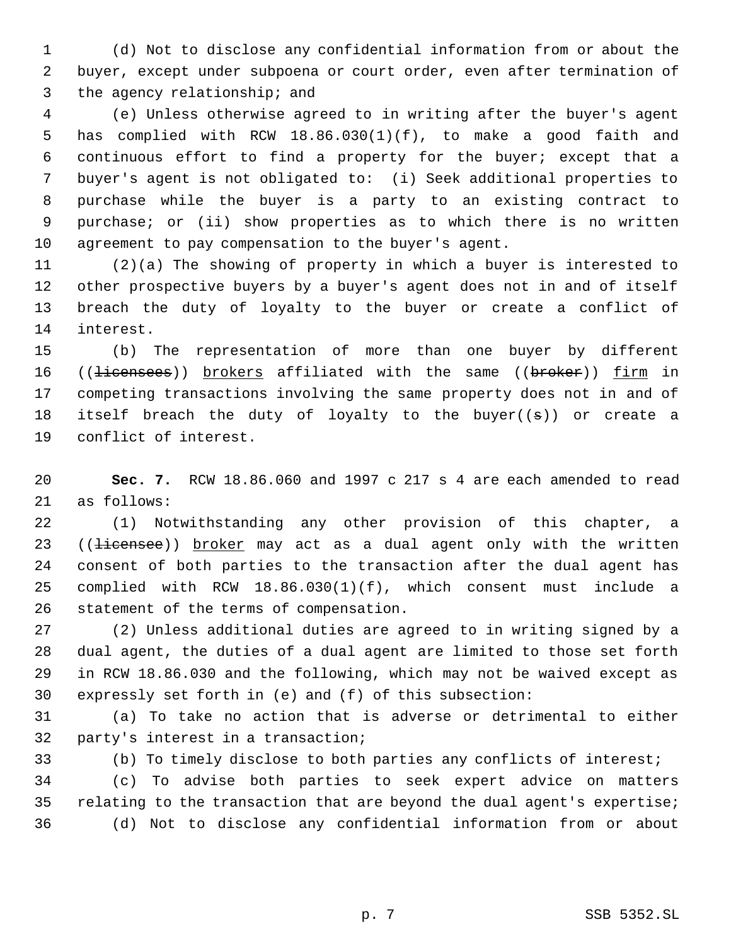(d) Not to disclose any confidential information from or about the buyer, except under subpoena or court order, even after termination of the agency relationship; and

 (e) Unless otherwise agreed to in writing after the buyer's agent has complied with RCW 18.86.030(1)(f), to make a good faith and continuous effort to find a property for the buyer; except that a buyer's agent is not obligated to: (i) Seek additional properties to purchase while the buyer is a party to an existing contract to purchase; or (ii) show properties as to which there is no written agreement to pay compensation to the buyer's agent.

 (2)(a) The showing of property in which a buyer is interested to other prospective buyers by a buyer's agent does not in and of itself breach the duty of loyalty to the buyer or create a conflict of interest.

 (b) The representation of more than one buyer by different 16 ((<del>licensees</del>)) brokers affiliated with the same ((broker)) firm in competing transactions involving the same property does not in and of 18 itself breach the duty of loyalty to the buyer( $(s)$ ) or create a conflict of interest.

 **Sec. 7.** RCW 18.86.060 and 1997 c 217 s 4 are each amended to read as follows:

 (1) Notwithstanding any other provision of this chapter, a 23 ((<del>licensee</del>)) broker may act as a dual agent only with the written consent of both parties to the transaction after the dual agent has complied with RCW 18.86.030(1)(f), which consent must include a statement of the terms of compensation.

 (2) Unless additional duties are agreed to in writing signed by a dual agent, the duties of a dual agent are limited to those set forth in RCW 18.86.030 and the following, which may not be waived except as expressly set forth in (e) and (f) of this subsection:

 (a) To take no action that is adverse or detrimental to either party's interest in a transaction;

(b) To timely disclose to both parties any conflicts of interest;

 (c) To advise both parties to seek expert advice on matters relating to the transaction that are beyond the dual agent's expertise; (d) Not to disclose any confidential information from or about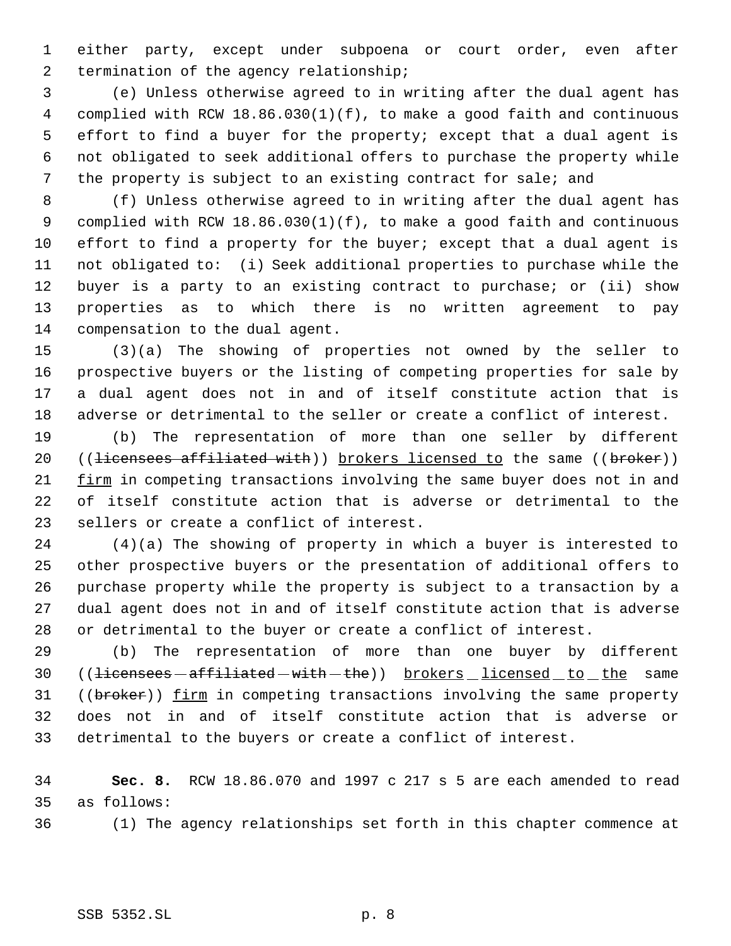either party, except under subpoena or court order, even after 2 termination of the agency relationship;

 (e) Unless otherwise agreed to in writing after the dual agent has complied with RCW 18.86.030(1)(f), to make a good faith and continuous effort to find a buyer for the property; except that a dual agent is not obligated to seek additional offers to purchase the property while the property is subject to an existing contract for sale; and

 (f) Unless otherwise agreed to in writing after the dual agent has complied with RCW 18.86.030(1)(f), to make a good faith and continuous effort to find a property for the buyer; except that a dual agent is not obligated to: (i) Seek additional properties to purchase while the buyer is a party to an existing contract to purchase; or (ii) show properties as to which there is no written agreement to pay compensation to the dual agent.

 (3)(a) The showing of properties not owned by the seller to prospective buyers or the listing of competing properties for sale by a dual agent does not in and of itself constitute action that is adverse or detrimental to the seller or create a conflict of interest.

 (b) The representation of more than one seller by different 20 ((<del>licensees affiliated with</del>)) brokers licensed to the same ((broker)) firm in competing transactions involving the same buyer does not in and of itself constitute action that is adverse or detrimental to the sellers or create a conflict of interest.

 (4)(a) The showing of property in which a buyer is interested to other prospective buyers or the presentation of additional offers to purchase property while the property is subject to a transaction by a dual agent does not in and of itself constitute action that is adverse or detrimental to the buyer or create a conflict of interest.

 (b) The representation of more than one buyer by different 30 ((<del>licensees affiliated with the</del>)) <u>brokers licensed to the</u> same 31 ((broker)) firm in competing transactions involving the same property does not in and of itself constitute action that is adverse or detrimental to the buyers or create a conflict of interest.

 **Sec. 8.** RCW 18.86.070 and 1997 c 217 s 5 are each amended to read as follows:

(1) The agency relationships set forth in this chapter commence at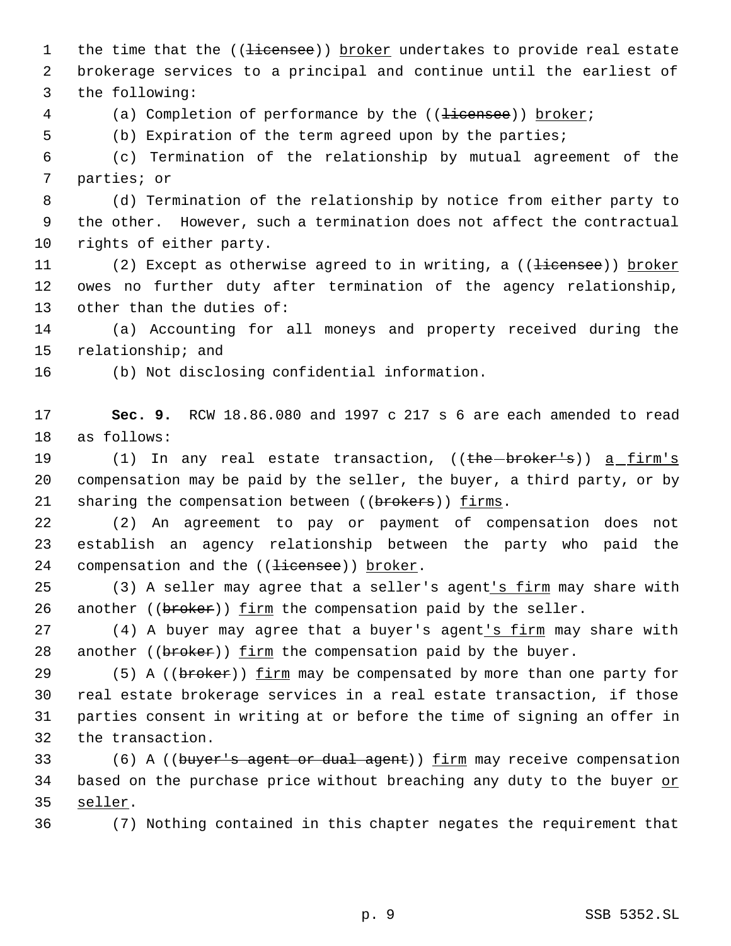1 the time that the ((<del>licensee</del>)) broker undertakes to provide real estate brokerage services to a principal and continue until the earliest of the following:

- 4 (a) Completion of performance by the ((<del>licensee</del>)) broker;
- (b) Expiration of the term agreed upon by the parties;

 (c) Termination of the relationship by mutual agreement of the parties; or

 (d) Termination of the relationship by notice from either party to the other. However, such a termination does not affect the contractual rights of either party.

11 (2) Except as otherwise agreed to in writing, a ((<del>licensee</del>)) broker owes no further duty after termination of the agency relationship, other than the duties of:

 (a) Accounting for all moneys and property received during the relationship; and

(b) Not disclosing confidential information.

 **Sec. 9.** RCW 18.86.080 and 1997 c 217 s 6 are each amended to read as follows:

19 (1) In any real estate transaction, ((the broker's)) a firm's compensation may be paid by the seller, the buyer, a third party, or by 21 sharing the compensation between ((brokers)) firms.

 (2) An agreement to pay or payment of compensation does not establish an agency relationship between the party who paid the 24 compensation and the ((<del>licensee</del>)) broker.

25 (3) A seller may agree that a seller's agent's firm may share with 26 another ( $(br\acute{e}r)$ ) firm the compensation paid by the seller.

27 (4) A buyer may agree that a buyer's agent's firm may share with 28 another ((broker)) firm the compensation paid by the buyer.

29 (5) A ((broker)) firm may be compensated by more than one party for real estate brokerage services in a real estate transaction, if those parties consent in writing at or before the time of signing an offer in the transaction.

33 (6) A ((buyer's agent or dual agent)) firm may receive compensation 34 based on the purchase price without breaching any duty to the buyer or seller.

(7) Nothing contained in this chapter negates the requirement that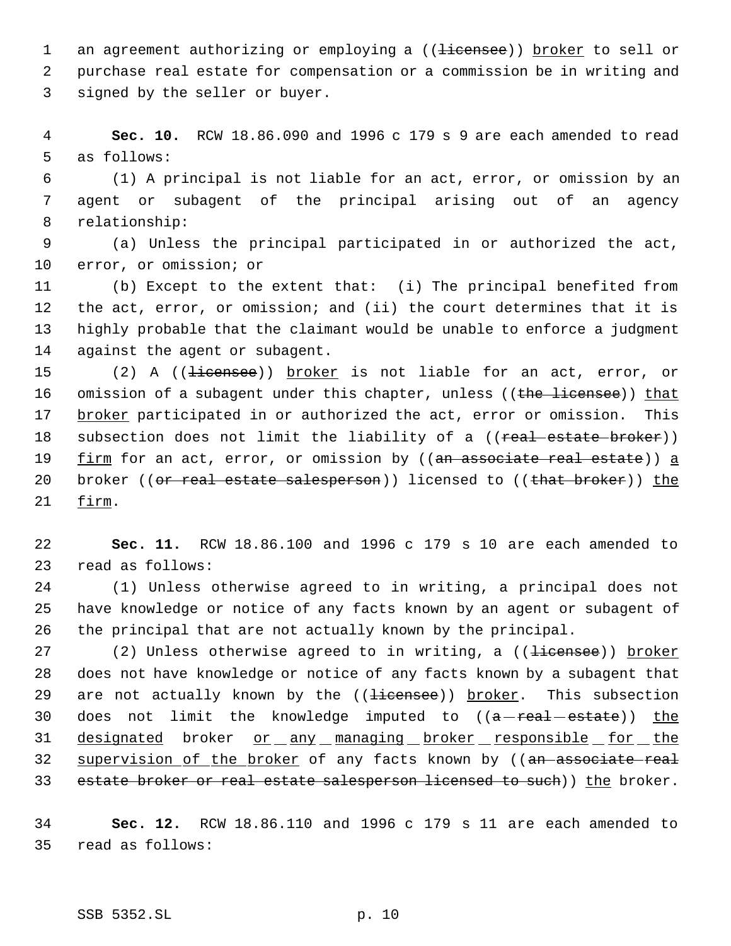1 an agreement authorizing or employing a ((<del>licensee</del>)) broker to sell or purchase real estate for compensation or a commission be in writing and signed by the seller or buyer.

 **Sec. 10.** RCW 18.86.090 and 1996 c 179 s 9 are each amended to read as follows:

 (1) A principal is not liable for an act, error, or omission by an agent or subagent of the principal arising out of an agency relationship:

 (a) Unless the principal participated in or authorized the act, error, or omission; or

 (b) Except to the extent that: (i) The principal benefited from the act, error, or omission; and (ii) the court determines that it is highly probable that the claimant would be unable to enforce a judgment against the agent or subagent.

15 (2) A ((<del>licensee</del>)) broker is not liable for an act, error, or 16 omission of a subagent under this chapter, unless ((the licensee)) that broker participated in or authorized the act, error or omission. This 18 subsection does not limit the liability of a ((<del>real estate broker</del>)) 19 firm for an act, error, or omission by ((an associate real estate)) a 20 broker ((or real estate salesperson)) licensed to ((that broker)) the firm.

 **Sec. 11.** RCW 18.86.100 and 1996 c 179 s 10 are each amended to read as follows:

 (1) Unless otherwise agreed to in writing, a principal does not have knowledge or notice of any facts known by an agent or subagent of the principal that are not actually known by the principal.

27 (2) Unless otherwise agreed to in writing, a ((<del>licensee</del>)) broker does not have knowledge or notice of any facts known by a subagent that 29 are not actually known by the ((<del>licensee</del>)) broker. This subsection 30 does not limit the knowledge imputed to  $((a - real - estimate))$  the 31 designated broker or any managing broker responsible for the 32 supervision of the broker of any facts known by ((an associate real 33 estate broker or real estate salesperson licensed to such)) the broker.

 **Sec. 12.** RCW 18.86.110 and 1996 c 179 s 11 are each amended to read as follows: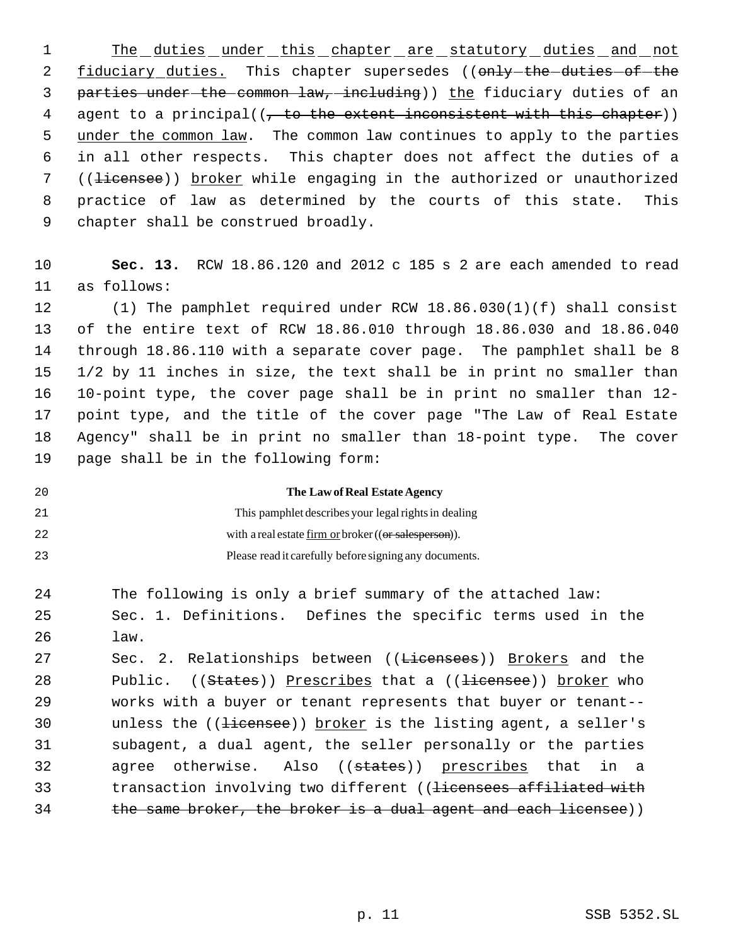1 The duties under this chapter are statutory duties and not 2 fiduciary duties. This chapter supersedes ((only-the-duties-of-the 3 parties under the common law, including)) the fiduciary duties of an 4 agent to a principal((, to the extent inconsistent with this chapter)) 5 under the common law. The common law continues to apply to the parties 6 in all other respects. This chapter does not affect the duties of a 7 ((<del>licensee</del>)) broker while engaging in the authorized or unauthorized 8 practice of law as determined by the courts of this state. This 9 chapter shall be construed broadly.

10 **Sec. 13.** RCW 18.86.120 and 2012 c 185 s 2 are each amended to read 11 as follows:

 (1) The pamphlet required under RCW 18.86.030(1)(f) shall consist of the entire text of RCW 18.86.010 through 18.86.030 and 18.86.040 through 18.86.110 with a separate cover page. The pamphlet shall be 8 1/2 by 11 inches in size, the text shall be in print no smaller than 10-point type, the cover page shall be in print no smaller than 12- point type, and the title of the cover page "The Law of Real Estate Agency" shall be in print no smaller than 18-point type. The cover page shall be in the following form:

20 **The Law of Real Estate Agency**

21

22 23 This pamphlet describes your legal rights in dealing with a real estate firm or broker ((or salesperson)). Please read it carefully before signing any documents.

24 The following is only a brief summary of the attached law:

25 Sec. 1. Definitions. Defines the specific terms used in the 26 law.

27 Sec. 2. Relationships between ((Licensees)) Brokers and the 28 Public. ((States)) Prescribes that a ((<del>licensee</del>)) broker who 29 works with a buyer or tenant represents that buyer or tenant-- 30  $unless$  the (( $\frac{1}{1}$  i excepted ) broker is the listing agent, a seller's 31 subagent, a dual agent, the seller personally or the parties 32 agree otherwise. Also ((states)) prescribes that in a 33 transaction involving two different ((licensees affiliated with 34 the same broker, the broker is a dual agent and each licensee))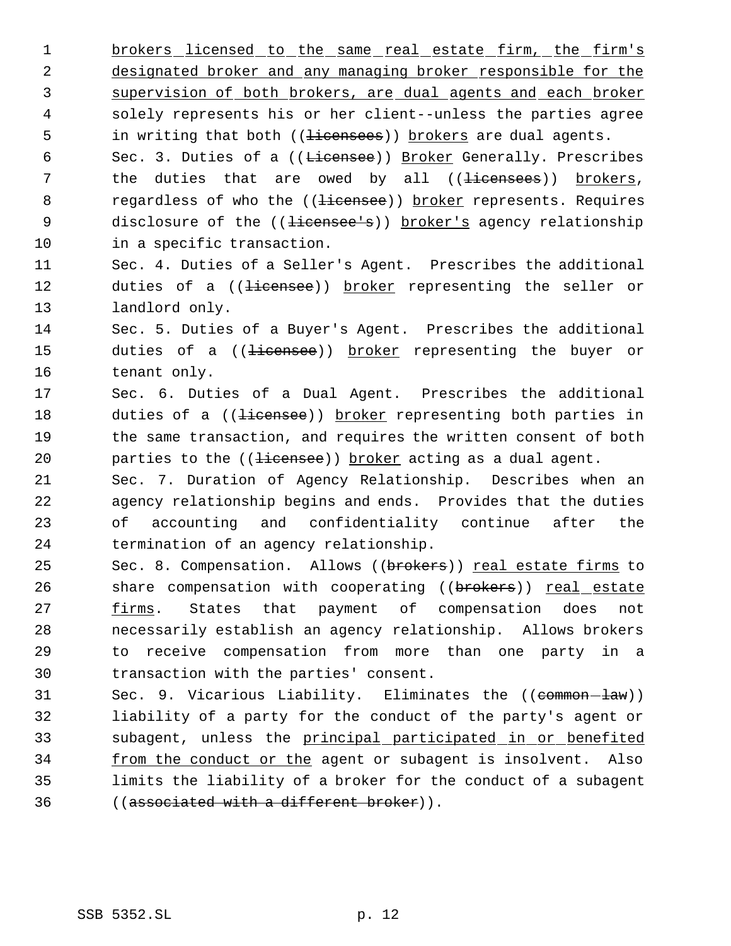1 brokers licensed to the same real estate firm, the firm's 2 designated broker and any managing broker responsible for the 3 supervision of both brokers, are dual agents and each broker 4 solely represents his or her client--unless the parties agree 5 in writing that both ((<del>licensees</del>)) brokers are dual agents. 6 Sec. 3. Duties of a ((Licensee)) Broker Generally. Prescribes 7 the duties that are owed by all ((<del>licensees</del>)) brokers, 8 regardless of who the ((<del>licensee</del>)) broker represents. Requires 9 disclosure of the ((<del>licensee's</del>)) broker's agency relationship

10 in a specific transaction.

11 Sec. 4. Duties of a Seller's Agent. Prescribes the additional 12 duties of a ((<del>licensee</del>)) broker representing the seller or 13 landlord only.

14 Sec. 5. Duties of a Buyer's Agent. Prescribes the additional 15 duties of a ((<del>licensee</del>)) broker representing the buyer or 16 tenant only.

17 Sec. 6. Duties of a Dual Agent. Prescribes the additional 18 duties of a ((<del>licensee</del>)) broker representing both parties in 19 the same transaction, and requires the written consent of both 20 parties to the ((<del>licensee</del>)) broker acting as a dual agent.

 Sec. 7. Duration of Agency Relationship. Describes when an agency relationship begins and ends. Provides that the duties of accounting and confidentiality continue after the termination of an agency relationship.

25 Sec. 8. Compensation. Allows ((brokers)) real estate firms to 26 share compensation with cooperating ((brokers)) real estate **firms.** States that payment of compensation does not necessarily establish an agency relationship. Allows brokers to receive compensation from more than one party in a transaction with the parties' consent.

31 Sec. 9. Vicarious Liability. Eliminates the ((common-law)) 32 liability of a party for the conduct of the party's agent or 33 subagent, unless the principal participated in or benefited 34 from the conduct or the agent or subagent is insolvent. Also 35 limits the liability of a broker for the conduct of a subagent 36 ((associated with a different broker)).